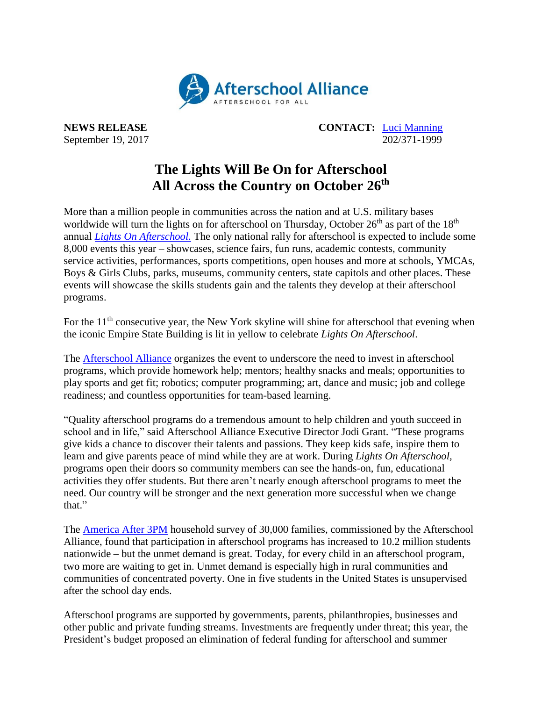

**NEWS RELEASE CONTACT:** [Luci Manning](mailto:luci@prsolutionsdc.com) September 19, 2017 202/371-1999

## **The Lights Will Be On for Afterschool All Across the Country on October 26 th**

More than a million people in communities across the nation and at U.S. military bases worldwide will turn the lights on for afterschool on Thursday, October  $26<sup>th</sup>$  as part of the  $18<sup>th</sup>$ annual *Lights On Afterschool*. The only national rally for afterschool is expected to include some 8,000 events this year – showcases, science fairs, fun runs, academic contests, community service activities, performances, sports competitions, open houses and more at schools, YMCAs, Boys & Girls Clubs, parks, museums, community centers, state capitols and other places. These events will showcase the skills students gain and the talents they develop at their afterschool programs.

For the 11<sup>th</sup> consecutive year, the New York skyline will shine for afterschool that evening when the iconic Empire State Building is lit in yellow to celebrate *Lights On Afterschool*.

The [Afterschool Alliance](http://www.afterschoolalliance.org/) organizes the event to underscore the need to invest in afterschool programs, which provide homework help; mentors; healthy snacks and meals; opportunities to play sports and get fit; robotics; computer programming; art, dance and music; job and college readiness; and countless opportunities for team-based learning.

"Quality afterschool programs do a tremendous amount to help children and youth succeed in school and in life," said Afterschool Alliance Executive Director Jodi Grant. "These programs give kids a chance to discover their talents and passions. They keep kids safe, inspire them to learn and give parents peace of mind while they are at work. During *Lights On Afterschool,* programs open their doors so community members can see the hands-on, fun, educational activities they offer students. But there aren't nearly enough afterschool programs to meet the need. Our country will be stronger and the next generation more successful when we change that."

The [America After 3PM](http://www.afterschoolalliance.org/AA3PM/) household survey of 30,000 families, commissioned by the Afterschool Alliance, found that participation in afterschool programs has increased to 10.2 million students nationwide – but the unmet demand is great. Today, for every child in an afterschool program, two more are waiting to get in. Unmet demand is especially high in rural communities and communities of concentrated poverty. One in five students in the United States is unsupervised after the school day ends.

Afterschool programs are supported by governments, parents, philanthropies, businesses and other public and private funding streams. Investments are frequently under threat; this year, the President's budget proposed an elimination of federal funding for afterschool and summer